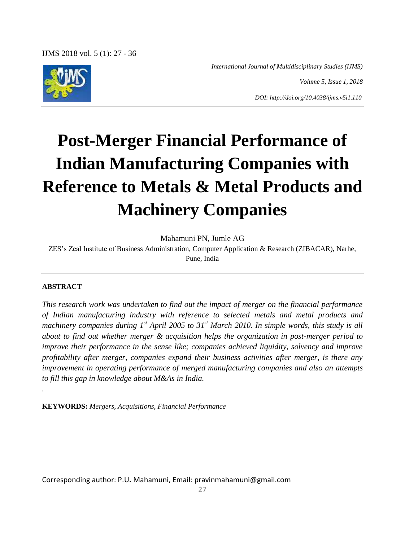IJMS 2018 vol. 5 (1): 27 - 36

*International Journal of Multidisciplinary Studies (IJMS)*

*Volume 5, Issue 1, 2018*

*DOI: http://doi.org/10.4038/ijms.v5i1.110*

# **Post-Merger Financial Performance of Indian Manufacturing Companies with Reference to Metals & Metal Products and Machinery Companies**

Mahamuni PN, Jumle AG

ZES"s Zeal Institute of Business Administration, Computer Application & Research (ZIBACAR), Narhe, Pune, India

#### **ABSTRACT**

*.*

*This research work was undertaken to find out the impact of merger on the financial performance of Indian manufacturing industry with reference to selected metals and metal products and machinery companies during 1st April 2005 to 31st March 2010. In simple words, this study is all about to find out whether merger & acquisition helps the organization in post-merger period to improve their performance in the sense like; companies achieved liquidity, solvency and improve profitability after merger, companies expand their business activities after merger, is there any improvement in operating performance of merged manufacturing companies and also an attempts to fill this gap in knowledge about M&As in India.*

**KEYWORDS:** *Mergers, Acquisitions, Financial Performance*

Corresponding author: P.U**.** Mahamuni, Email: pravinmahamuni@gmail.com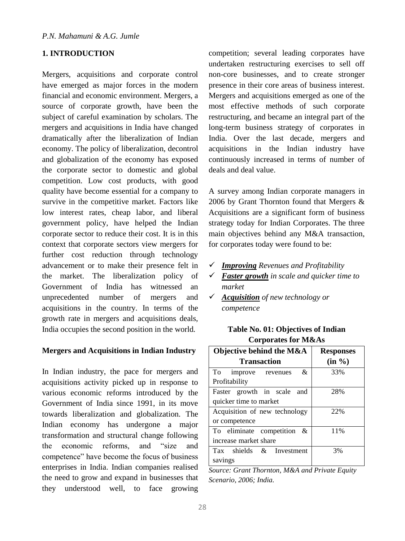#### **1. INTRODUCTION**

Mergers, acquisitions and corporate control have emerged as major forces in the modern financial and economic environment. Mergers, a source of corporate growth, have been the subject of careful examination by scholars. The mergers and acquisitions in India have changed dramatically after the liberalization of Indian economy. The policy of liberalization, decontrol and globalization of the economy has exposed the corporate sector to domestic and global competition. Low cost products, with good quality have become essential for a company to survive in the competitive market. Factors like low interest rates, cheap labor, and liberal government policy, have helped the Indian corporate sector to reduce their cost. It is in this context that corporate sectors view mergers for further cost reduction through technology advancement or to make their presence felt in the market. The liberalization policy of Government of India has witnessed an unprecedented number of mergers and acquisitions in the country. In terms of the growth rate in mergers and acquisitions deals, India occupies the second position in the world.

#### **Mergers and Acquisitions in Indian Industry**

In Indian industry, the pace for mergers and acquisitions activity picked up in response to various economic reforms introduced by the Government of India since 1991, in its move towards liberalization and globalization. The Indian economy has undergone a major transformation and structural change following the economic reforms, and "size and competence" have become the focus of business enterprises in India. Indian companies realised the need to grow and expand in businesses that they understood well, to face growing competition; several leading corporates have undertaken restructuring exercises to sell off non-core businesses, and to create stronger presence in their core areas of business interest. Mergers and acquisitions emerged as one of the most effective methods of such corporate restructuring, and became an integral part of the long-term business strategy of corporates in India. Over the last decade, mergers and acquisitions in the Indian industry have continuously increased in terms of number of deals and deal value.

A survey among Indian corporate managers in 2006 by Grant Thornton found that Mergers & Acquisitions are a significant form of business strategy today for Indian Corporates. The three main objectives behind any M&A transaction, for corporates today were found to be:

- *Improving Revenues and Profitability*
- *Faster growth in scale and quicker time to market*
- *Acquisition of new technology or competence*

| Table No. 01: Objectives of Indian |
|------------------------------------|
| <b>Corporates for M&amp;As</b>     |

| Objective behind the M&A        | <b>Responses</b> |
|---------------------------------|------------------|
| <b>Transaction</b>              | $(in \%)$        |
| &<br>To improve revenues        | 33%              |
| Profitability                   |                  |
| Faster growth in scale and      | 28%              |
| quicker time to market          |                  |
| Acquisition of new technology   | 22%              |
| or competence                   |                  |
| To eliminate competition<br>- & | 11%              |
| increase market share           |                  |
| Tax shields & Investment        | 3%               |
| savings                         |                  |

*Source: Grant Thornton, M&A and Private Equity Scenario, 2006; India.*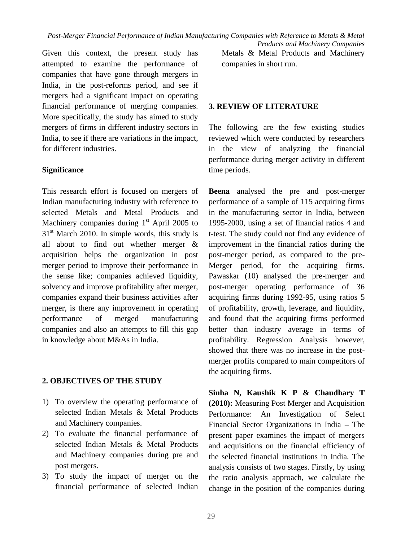Given this context, the present study has attempted to examine the performance of companies that have gone through mergers in India, in the post-reforms period, and see if mergers had a significant impact on operating financial performance of merging companies. More specifically, the study has aimed to study mergers of firms in different industry sectors in India, to see if there are variations in the impact, for different industries.

#### **Significance**

This research effort is focused on mergers of Indian manufacturing industry with reference to selected Metals and Metal Products and Machinery companies during  $1<sup>st</sup>$  April 2005 to  $31<sup>st</sup>$  March 2010. In simple words, this study is all about to find out whether merger & acquisition helps the organization in post merger period to improve their performance in the sense like; companies achieved liquidity, solvency and improve profitability after merger, companies expand their business activities after merger, is there any improvement in operating performance of merged manufacturing companies and also an attempts to fill this gap in knowledge about M&As in India.

# **2. OBJECTIVES OF THE STUDY**

- 1) To overview the operating performance of selected Indian Metals & Metal Products and Machinery companies.
- 2) To evaluate the financial performance of selected Indian Metals & Metal Products and Machinery companies during pre and post mergers.
- 3) To study the impact of merger on the financial performance of selected Indian

*Products and Machinery Companies* Metals & Metal Products and Machinery companies in short run.

# **3. REVIEW OF LITERATURE**

The following are the few existing studies reviewed which were conducted by researchers in the view of analyzing the financial performance during merger activity in different time periods.

**Beena** analysed the pre and post-merger performance of a sample of 115 acquiring firms in the manufacturing sector in India, between 1995-2000, using a set of financial ratios 4 and t-test. The study could not find any evidence of improvement in the financial ratios during the post-merger period, as compared to the pre-Merger period, for the acquiring firms. Pawaskar (10) analysed the pre-merger and post-merger operating performance of 36 acquiring firms during 1992-95, using ratios 5 of profitability, growth, leverage, and liquidity, and found that the acquiring firms performed better than industry average in terms of profitability. Regression Analysis however, showed that there was no increase in the postmerger profits compared to main competitors of the acquiring firms.

**Sinha N, Kaushik K P & Chaudhary T (2010):** Measuring Post Merger and Acquisition Performance: An Investigation of Select Financial Sector Organizations in India *–* The present paper examines the impact of mergers and acquisitions on the financial efficiency of the selected financial institutions in India. The analysis consists of two stages. Firstly, by using the ratio analysis approach, we calculate the change in the position of the companies during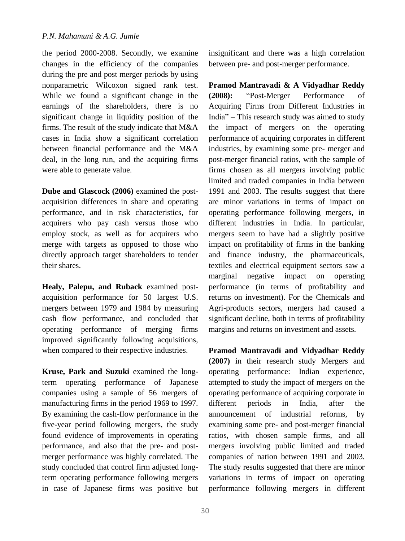the period 2000-2008. Secondly, we examine changes in the efficiency of the companies during the pre and post merger periods by using nonparametric Wilcoxon signed rank test. While we found a significant change in the earnings of the shareholders, there is no significant change in liquidity position of the firms. The result of the study indicate that M&A cases in India show a significant correlation between financial performance and the M&A deal, in the long run, and the acquiring firms were able to generate value.

**Dube and Glascock (2006)** examined the postacquisition differences in share and operating performance, and in risk characteristics, for acquirers who pay cash versus those who employ stock, as well as for acquirers who merge with targets as opposed to those who directly approach target shareholders to tender their shares.

**Healy, Palepu, and Ruback** examined postacquisition performance for 50 largest U.S. mergers between 1979 and 1984 by measuring cash flow performance, and concluded that operating performance of merging firms improved significantly following acquisitions, when compared to their respective industries.

**Kruse, Park and Suzuki** examined the longterm operating performance of Japanese companies using a sample of 56 mergers of manufacturing firms in the period 1969 to 1997. By examining the cash-flow performance in the five-year period following mergers, the study found evidence of improvements in operating performance, and also that the pre- and postmerger performance was highly correlated. The study concluded that control firm adjusted longterm operating performance following mergers in case of Japanese firms was positive but insignificant and there was a high correlation between pre- and post-merger performance.

**Pramod Mantravadi & A Vidyadhar Reddy (2008):** "Post-Merger Performance of Acquiring Firms from Different Industries in India" – This research study was aimed to study the impact of mergers on the operating performance of acquiring corporates in different industries, by examining some pre- merger and post-merger financial ratios, with the sample of firms chosen as all mergers involving public limited and traded companies in India between 1991 and 2003. The results suggest that there are minor variations in terms of impact on operating performance following mergers, in different industries in India. In particular, mergers seem to have had a slightly positive impact on profitability of firms in the banking and finance industry, the pharmaceuticals, textiles and electrical equipment sectors saw a marginal negative impact on operating performance (in terms of profitability and returns on investment). For the Chemicals and Agri-products sectors, mergers had caused a significant decline, both in terms of profitability margins and returns on investment and assets.

**Pramod Mantravadi and Vidyadhar Reddy (2007)** in their research study Mergers and operating performance: Indian experience, attempted to study the impact of mergers on the operating performance of acquiring corporate in different periods in India, after the announcement of industrial reforms, by examining some pre- and post-merger financial ratios, with chosen sample firms, and all mergers involving public limited and traded companies of nation between 1991 and 2003. The study results suggested that there are minor variations in terms of impact on operating performance following mergers in different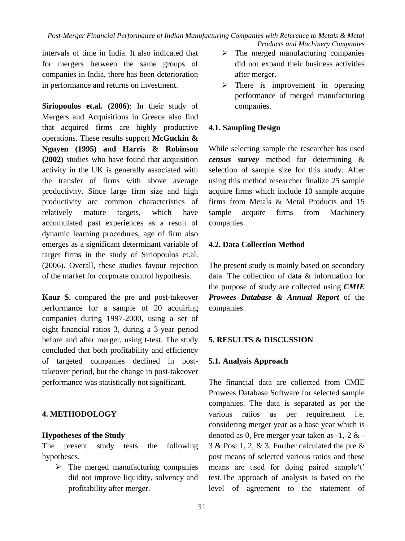intervals of time in India. It also indicated that for mergers between the same groups of companies in India, there has been deterioration in performance and returns on investment.

**Siriopoulos et.al. (2006)**: In their study of Mergers and Acquisitions in Greece also find that acquired firms are highly productive operations. These results support **McGuckin & Nguyen (1995) and Harris & Robinson (2002)** studies who have found that acquisition activity in the UK is generally associated with the transfer of firms with above average productivity. Since large firm size and high productivity are common characteristics of relatively mature targets, which have accumulated past experiences as a result of dynamic learning procedures, age of firm also emerges as a significant determinant variable of target firms in the study of Siriopoulos et.al. (2006). Overall, these studies favour rejection of the market for corporate control hypothesis.

**Kaur S.** compared the pre and post-takeover performance for a sample of 20 acquiring companies during 1997-2000, using a set of eight financial ratios 3, during a 3-year period before and after merger, using t-test. The study concluded that both profitability and efficiency of targeted companies declined in posttakeover period, but the change in post-takeover performance was statistically not significant.

# **4. METHODOLOGY**

# **Hypotheses of the Study**

The present study tests the following hypotheses.

 $\triangleright$  The merged manufacturing companies did not improve liquidity, solvency and profitability after merger.

- $\triangleright$  The merged manufacturing companies did not expand their business activities after merger.
- $\triangleright$  There is improvement in operating performance of merged manufacturing companies.

# **4.1. Sampling Design**

While selecting sample the researcher has used *census survey* method for determining & selection of sample size for this study. After using this method researcher finalize 25 sample acquire firms which include 10 sample acquire firms from Metals & Metal Products and 15 sample acquire firms from Machinery companies.

# **4.2. Data Collection Method**

The present study is mainly based on secondary data. The collection of data & information for the purpose of study are collected using *CMIE Prowees Database & Annual Report* of the companies.

# **5. RESULTS & DISCUSSION**

# **5.1. Analysis Approach**

The financial data are collected from CMIE Prowees Database Software for selected sample companies. The data is separated as per the various ratios as per requirement i.e. considering merger year as a base year which is denoted as 0, Pre merger year taken as -1,-2 & - 3 & Post 1, 2, & 3. Further calculated the pre & post means of selected various ratios and these means are used for doing paired sample't' test.The approach of analysis is based on the level of agreement to the statement of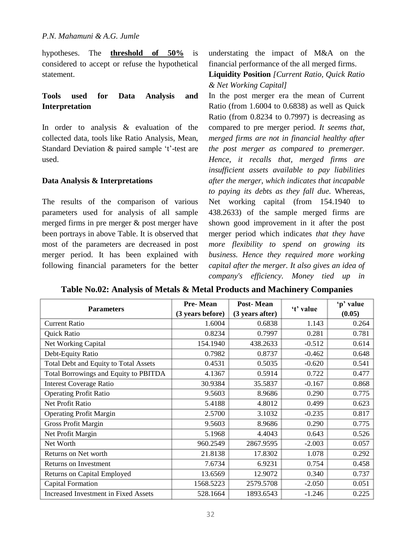hypotheses. The **threshold of 50%** is considered to accept or refuse the hypothetical statement.

#### **Tools used for Data Analysis and Interpretation**

In order to analysis & evaluation of the collected data, tools like Ratio Analysis, Mean, Standard Deviation & paired sample 't'-test are used.

#### **Data Analysis & Interpretations**

The results of the comparison of various parameters used for analysis of all sample merged firms in pre merger & post merger have been portrays in above Table. It is observed that most of the parameters are decreased in post merger period. It has been explained with following financial parameters for the better understating the impact of M&A on the financial performance of the all merged firms.

#### **Liquidity Position** *[Current Ratio, Quick Ratio & Net Working Capital]*

In the post merger era the mean of Current Ratio (from 1.6004 to 0.6838) as well as Quick Ratio (from 0.8234 to 0.7997) is decreasing as compared to pre merger period. *It seems that, merged firms are not in financial healthy after the post merger as compared to premerger. Hence, it recalls that, merged firms are insufficient assets available to pay liabilities after the merger, which indicates that incapable to paying its debts as they fall due.* Whereas, Net working capital (from 154.1940 to 438.2633) of the sample merged firms are shown good improvement in it after the post merger period which indicates *that they have more flexibility to spend on growing its business. Hence they required more working capital after the merger. It also gives an idea of company's efficiency. Money tied up in* 

| <b>Parameters</b>                     | Pre-Mean         | Post-Mean       | 't' value | 'p' value |
|---------------------------------------|------------------|-----------------|-----------|-----------|
|                                       | (3 years before) | (3 years after) |           | (0.05)    |
| <b>Current Ratio</b>                  | 1.6004           | 0.6838          | 1.143     | 0.264     |
| Quick Ratio                           | 0.8234           | 0.7997          | 0.281     | 0.781     |
| Net Working Capital                   | 154.1940         | 438.2633        | $-0.512$  | 0.614     |
| Debt-Equity Ratio                     | 0.7982           | 0.8737          | $-0.462$  | 0.648     |
| Total Debt and Equity to Total Assets | 0.4531           | 0.5035          | $-0.620$  | 0.541     |
| Total Borrowings and Equity to PBITDA | 4.1367           | 0.5914          | 0.722     | 0.477     |
| <b>Interest Coverage Ratio</b>        | 30.9384          | 35.5837         | $-0.167$  | 0.868     |
| <b>Operating Profit Ratio</b>         | 9.5603           | 8.9686          | 0.290     | 0.775     |
| Net Profit Ratio                      | 5.4188           | 4.8012          | 0.499     | 0.623     |
| <b>Operating Profit Margin</b>        | 2.5700           | 3.1032          | $-0.235$  | 0.817     |
| <b>Gross Profit Margin</b>            | 9.5603           | 8.9686          | 0.290     | 0.775     |
| Net Profit Margin                     | 5.1968           | 4.4043          | 0.643     | 0.526     |
| Net Worth                             | 960.2549         | 2867.9595       | $-2.003$  | 0.057     |
| Returns on Net worth                  | 21.8138          | 17.8302         | 1.078     | 0.292     |
| Returns on Investment                 | 7.6734           | 6.9231          | 0.754     | 0.458     |
| <b>Returns on Capital Employed</b>    | 13.6569          | 12.9072         | 0.340     | 0.737     |
| Capital Formation                     | 1568.5223        | 2579.5708       | $-2.050$  | 0.051     |
| Increased Investment in Fixed Assets  | 528.1664         | 1893.6543       | $-1.246$  | 0.225     |

**Table No.02: Analysis of Metals & Metal Products and Machinery Companies**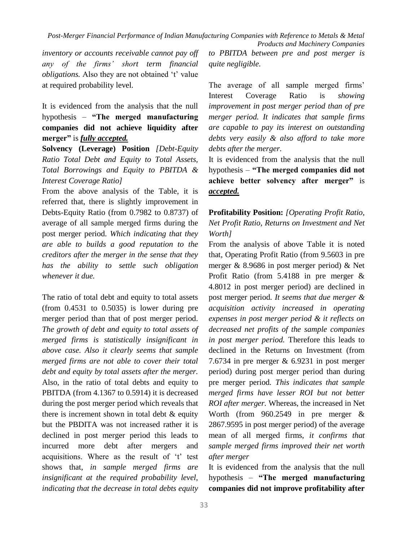*Post-Merger Financial Performance of Indian Manufacturing Companies with Reference to Metals & Metal* 

*inventory or accounts receivable cannot pay off any of the firms' short term financial obligations.* Also they are not obtained 't' value at required probability level.

It is evidenced from the analysis that the null hypothesis – **"The merged manufacturing companies did not achieve liquidity after merger"** is *fully accepted.* 

**Solvency (Leverage) Position** *[Debt-Equity Ratio Total Debt and Equity to Total Assets, Total Borrowings and Equity to PBITDA & Interest Coverage Ratio]*

From the above analysis of the Table, it is referred that, there is slightly improvement in Debts-Equity Ratio (from 0.7982 to 0.8737) of average of all sample merged firms during the post merger period. *Which indicating that they are able to builds a good reputation to the creditors after the merger in the sense that they has the ability to settle such obligation whenever it due.*

The ratio of total debt and equity to total assets (from 0.4531 to 0.5035) is lower during pre merger period than that of post merger period. *The growth of debt and equity to total assets of merged firms is statistically insignificant in above case. Also it clearly seems that sample merged firms are not able to cover their total debt and equity by total assets after the merger.*  Also, in the ratio of total debts and equity to PBITDA (from 4.1367 to 0.5914) it is decreased during the post merger period which reveals that there is increment shown in total debt  $\&$  equity but the PBDITA was not increased rather it is declined in post merger period this leads to incurred more debt after mergers and acquisitions. Where as the result of 't' test shows that, *in sample merged firms are insignificant at the required probability level, indicating that the decrease in total debts equity*

*Products and Machinery Companies to PBITDA between pre and post merger is quite negligible.* 

The average of all sample merged firms' Interest Coverage Ratio is *showing improvement in post merger period than of pre merger period. It indicates that sample firms are capable to pay its interest on outstanding debts very easily & also afford to take more debts after the merger.*

It is evidenced from the analysis that the null hypothesis – **"The merged companies did not achieve better solvency after merger"** is *accepted.*

# **Profitability Position:** *[Operating Profit Ratio, Net Profit Ratio, Returns on Investment and Net Worth]*

From the analysis of above Table it is noted that, Operating Profit Ratio (from 9.5603 in pre merger & 8.9686 in post merger period) & Net Profit Ratio (from 5.4188 in pre merger & 4.8012 in post merger period) are declined in post merger period*. It seems that due merger & acquisition activity increased in operating expenses in post merger period & it reflects on decreased net profits of the sample companies in post merger period.* Therefore this leads to declined in the Returns on Investment (from 7.6734 in pre merger & 6.9231 in post merger period) during post merger period than during pre merger period*. This indicates that sample merged firms have lesser ROI but not better ROI after merger.* Whereas, the increased in Net Worth (from 960.2549 in pre merger & 2867.9595 in post merger period) of the average mean of all merged firms, *it confirms that sample merged firms improved their net worth after merger*

It is evidenced from the analysis that the null hypothesis – **"The merged manufacturing companies did not improve profitability after**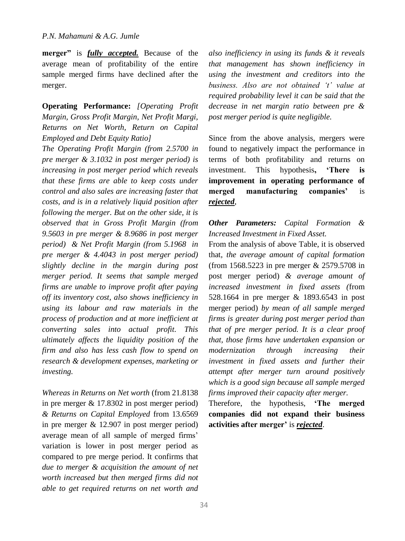**merger"** is *fully accepted.* Because of the average mean of profitability of the entire sample merged firms have declined after the merger.

**Operating Performance:** *[Operating Profit Margin, Gross Profit Margin, Net Profit Margi, Returns on Net Worth, Return on Capital Employed and Debt Equity Ratio]*

*The Operating Profit Margin (from 2.5700 in pre merger & 3.1032 in post merger period) is increasing in post merger period which reveals that these firms are able to keep costs under control and also sales are increasing faster that costs, and is in a relatively liquid position after following the merger. But on the other side, it is observed that in Gross Profit Margin (from 9.5603 in pre merger & 8.9686 in post merger period) & Net Profit Margin (from 5.1968 in pre merger & 4.4043 in post merger period) slightly decline in the margin during post merger period. It seems that sample merged firms are unable to improve profit after paying off its inventory cost, also shows inefficiency in using its labour and raw materials in the process of production and at more inefficient at converting sales into actual profit. This ultimately affects the liquidity position of the firm and also has less cash flow to spend on research & development expenses, marketing or investing.* 

*Whereas in Returns on Net worth* (from 21.8138 in pre merger & 17.8302 in post merger period) *& Returns on Capital Employed* from 13.6569 in pre merger & 12.907 in post merger period) average mean of all sample of merged firms' variation is lower in post merger period as compared to pre merge period. It confirms that *due to merger & acquisition the amount of net worth increased but then merged firms did not able to get required returns on net worth and* 

*also inefficiency in using its funds & it reveals that management has shown inefficiency in using the investment and creditors into the business. Also are not obtained 't' value at required probability level it can be said that the decrease in net margin ratio between pre & post merger period is quite negligible.*

Since from the above analysis, mergers were found to negatively impact the performance in terms of both profitability and returns on investment. This hypothesis**, "There is improvement in operating performance of merged manufacturing companies"** is *rejected*,

#### *Other Parameters: Capital Formation & Increased Investment in Fixed Asset.*

From the analysis of above Table, it is observed that, *the average amount of capital formation*  (from 1568.5223 in pre merger & 2579.5708 in post merger period) *& average amount of increased investment in fixed assets (*from 528.1664 in pre merger & 1893.6543 in post merger period) *by mean of all sample merged firms is greater during post merger period than that of pre merger period. It is a clear proof that, those firms have undertaken expansion or modernization through increasing their investment in fixed assets and further their attempt after merger turn around positively which is a good sign because all sample merged firms improved their capacity after merger.* 

Therefore, the hypothesis, **"The merged companies did not expand their business activities after merger"** is *rejected*.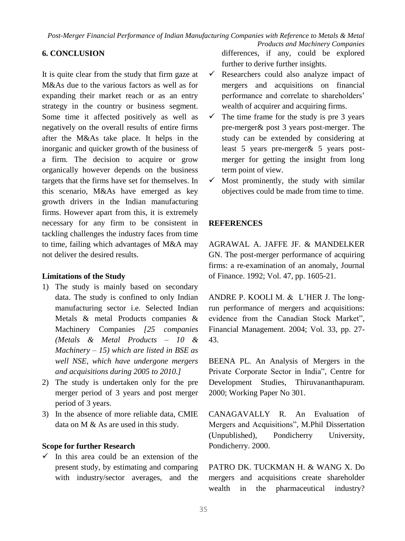#### **6. CONCLUSION**

It is quite clear from the study that firm gaze at M&As due to the various factors as well as for expanding their market reach or as an entry strategy in the country or business segment. Some time it affected positively as well as negatively on the overall results of entire firms after the M&As take place. It helps in the inorganic and quicker growth of the business of a firm. The decision to acquire or grow organically however depends on the business targets that the firms have set for themselves. In this scenario, M&As have emerged as key growth drivers in the Indian manufacturing firms. However apart from this, it is extremely necessary for any firm to be consistent in tackling challenges the industry faces from time to time, failing which advantages of M&A may not deliver the desired results.

#### **Limitations of the Study**

- 1) The study is mainly based on secondary data. The study is confined to only Indian manufacturing sector i.e. Selected Indian Metals & metal Products companies & Machinery Companies *[25 companies (Metals & Metal Products – 10 & Machinery – 15) which are listed in BSE as well NSE, which have undergone mergers and acquisitions during 2005 to 2010.]*
- 2) The study is undertaken only for the pre merger period of 3 years and post merger period of 3 years.
- 3) In the absence of more reliable data, CMIE data on M & As are used in this study.

#### **Scope for further Research**

 $\checkmark$  In this area could be an extension of the present study, by estimating and comparing with industry/sector averages, and the

*Products and Machinery Companies* differences, if any, could be explored further to derive further insights.

- $\checkmark$  Researchers could also analyze impact of mergers and acquisitions on financial performance and correlate to shareholders" wealth of acquirer and acquiring firms.
- $\checkmark$  The time frame for the study is pre 3 years pre-merger& post 3 years post-merger. The study can be extended by considering at least 5 years pre-merger& 5 years postmerger for getting the insight from long term point of view.
- $\checkmark$  Most prominently, the study with similar objectives could be made from time to time.

#### **REFERENCES**

AGRAWAL A. JAFFE JF. & MANDELKER GN. The post-merger performance of acquiring firms: a re-examination of an anomaly, Journal of Finance. 1992; Vol. 47, pp. 1605-21.

ANDRE P. KOOLI M. & L"HER J. The longrun performance of mergers and acquisitions: evidence from the Canadian Stock Market", Financial Management. 2004; Vol. 33, pp. 27- 43.

BEENA PL. An Analysis of Mergers in the Private Corporate Sector in India", Centre for Development Studies, Thiruvananthapuram. 2000; Working Paper No 301.

CANAGAVALLY R. An Evaluation of Mergers and Acquisitions", M.Phil Dissertation (Unpublished), Pondicherry University, Pondicherry. 2000.

PATRO DK. TUCKMAN H. & WANG X. Do mergers and acquisitions create shareholder wealth in the pharmaceutical industry?